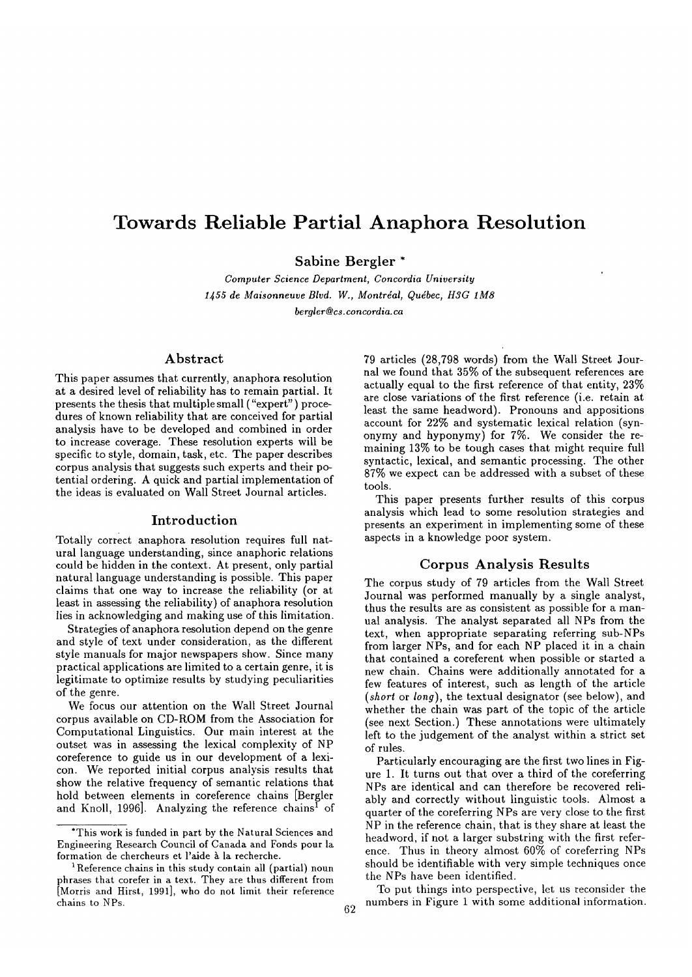# **Towards Reliable Partial Anaphora Resolution**

Sabine Bergler \*

*Computer Science Department, Concordia University*  1455 de Maisonneuve Blvd. W., Montréal, Québec, H3G 1M8 *bergler@cs, concordia, ca* 

#### Abstract

This paper assumes that currently, anaphora resolution at a desired level of reliability has to remain partial. It presents the thesis that multiple small ("expert") procedures of known reliability that are conceived for partial analysis have to be developed and combined in order to increase coverage. These resolution experts will be specific to style, domain, task, etc. The paper describes corpus analysis that suggests such experts and their potential ordering. A quick and partial implementation of the ideas is evaluated on Wall Street Journal articles.

#### Introduction

Totally correct anaphora resolution requires full natural language understanding, since anaphoric relations could be hidden in the context. At present, only partial natural language understanding is possible. This paper claims that one way to increase the reliability (or at least in assessing the reliability) of anaphora resolution lies in acknowledging and making use of this limitation.

Strategies of anaphora resolution depend on the genre and style of text under consideration, as the different style manuals for major newspapers show. Since many practical applications are limited to a certain genre, it is legitimate to optimize results by studying peculiarities of the genre.

We focus our attention on the Wall Street Journal corpus available on CD-ROM from the Association for Computational Linguistics. Our main interest at the outset was in assessing the lexical complexity of NP coreference to guide us in our development of a lexicon. We reported initial corpus analysis results that show the relative frequency of semantic relations that hold between elements in eoreference chains [Bergler and Knoll, 1996]. Analyzing the reference chains<sup>I</sup> of 79 articles (28,798 words) from the Wall Street Journal we found that 35% of the subsequent references are actually equal to the first reference of that entity, 23% are close variations of the first reference (i.e. retain at least the same headword). Pronouns and appositions account for 22% and systematic lexical relation (synonymy and hyponymy) for 7%. We consider the remaining 13% to be tough cases that might require full syntactic, lexical, and semantic processing. The other 87% we expect can be addressed with a subset of these tools.

This paper presents further results of this corpus analysis which lead to some resolution strategies and presents an experiment in implementing some of these aspects in a knowledge poor system.

## Corpus Analysis Results

The corpus study of 79 articles from the Wall Street Journal was performed manually by a single analyst, thus the results are as consistent as possible for a manual analysis. The analyst separated all NPs from the text, when appropriate separating referring sub-NPs from larger NPs, and for each NP placed it in a chain that contained a coreferent when possible or started a new chain. Chains were additionally annotated for a few features of interest, such as length of the article *(short* or *long),* the textual designator (see below), and whether the chain was part of the topic of the article (see next Section.) These annotations were ultimately left to the judgement of the analyst within a strict set of rules.

Particularly encouraging are the first two lines in Figure 1. It turns out that over a third of the coreferring NPs are identical and can therefore be recovered reliably and correctly without linguistic tools. Almost a quarter of the coreferring NPs are very close to the first NP in the reference chain, that is they share at least the headword, if not a larger substring with the first reference. Thus in theory almost 60% of coreferring NPs should be identifiable with very simple techniques once the NPs have been identified.

To put things into perspective, let us reconsider the numbers in Figure 1 with some additional information.

<sup>\*</sup>This work is funded in part by the Natural Sciences and Engineering Research Council of Canada and Fonds pour la formation de chercheurs et l'aide à la recherche.

<sup>&</sup>lt;sup>1</sup> Reference chains in this study contain all (partial) noun phrases that corefer in a text. They are thus different from [Morris and Hirst, 1991], who do not limit their reference chains to NPs. 62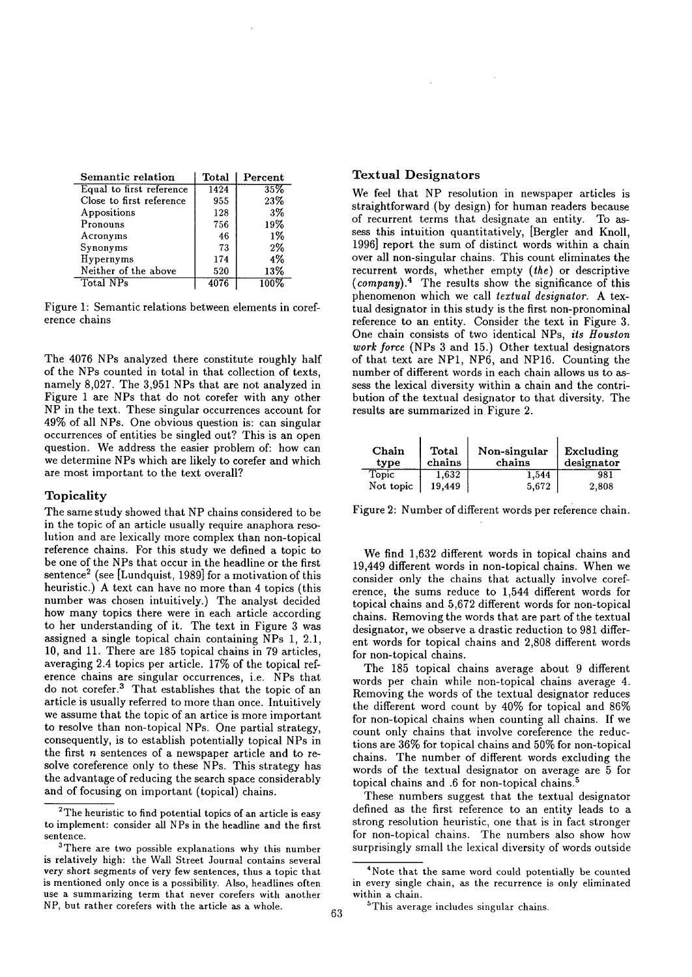| Semantic relation        | <b>Total</b> | Percent |  |
|--------------------------|--------------|---------|--|
| Equal to first reference | 1424         | 35%     |  |
| Close to first reference | 955          | 23%     |  |
| Appositions              | 128          | $3\%$   |  |
| Pronouns                 | 756          | 19%     |  |
| Acronyms                 | 46           | $1\%$   |  |
| Synonyms                 | 73           | $2\%$   |  |
| Hypernyms                | 174          | 4%      |  |
| Neither of the above     | 520          | 13%     |  |
| Total NPs                | 4076         |         |  |

Figure 1: Semantic relations between elements in coreference chains

The 4076 NPs analyzed there constitute roughly half of the NPs counted in total in that collection of texts, namely 8,027. The 3,951 NPs that are not analyzed in Figure 1 are NPs that do not corefer with any other NP in the text. These singular occurrences account for 49% of all NPs. One obvious question is: can singular occurrences of entities be singled out? This is an open question. We address the easier problem of: how can we determine NPs which are likely to corefer and which are most important to the text overall?

#### Topicality

The same study showed that NP chains considered to be in the topic of an article usually require anaphora resolution and are lexically more complex than non-topical reference chains. For this study we defined a topic to be one of the NPs that occur in the headline or the first sentence<sup>2</sup> (see [Lundquist, 1989] for a motivation of this heuristic.) A text can have no more than 4 topics (this number was chosen intuitively.) The analyst decided how many topics there were in each article according to her understanding of it. The text in Figure 3 was assigned a single topical chain containing NPs 1, 2.1, 10, and 11. There are 185 topical chains in 79 articles, averaging 2.4 topics per article. 17% of the topical reference chains are singular occurrences, i.e. NPs that do not corefer.<sup>3</sup> That establishes that the topic of an article is usually referred to more than once. Intuitively we assume that the topic of an artice is more important to resolve than non-topical NPs. One partial strategy, consequently, is to establish potentially topical NPs in the first  $n$  sentences of a newspaper article and to resolve coreference only to these NPs. This strategy has the advantage of reducing the search space considerably and of focusing on important (topical) chains.

#### **Textual** Designators

We feel that NP resolution in newspaper articles is straightforward (by design) for human readers because of recurrent terms that designate an entity. To assess this intuition quantitatively, [Bergler and Knoll, 1996] report the sum of distinct words within a chain over all non-singular chains. This count eliminates the recurrent words, whether empty *(the)* or descriptive *(company). 4* The results show the significance of this phenomenon which we call *textual designator.* A textual designator in this study is the first non-pronominal reference to an entity. Consider the text in Figure 3. One chain consists of two identical NPs, *its Houston work force* (NPs 3 and 15.) Other textual designators of that text are NP1, NP6, and NP16. Counting the number of different words in each chain allows us to assess the lexical diversity within a chain and the contribution of the textual designator to that diversity. The results are summarized in Figure 2.

| Chain<br>type | Total<br>chains | Non-singular<br>chains | Excluding<br>designator |  |
|---------------|-----------------|------------------------|-------------------------|--|
| Topic         | 1,632           | 1,544                  | 981                     |  |
| Not topic     | 19.449          | 5.672                  | 2,808                   |  |

Figure 2: Number of different words per reference chain.

We find 1,632 different words in topical chains and 19,449 different words in non-topical chains. When we consider only the chains that actually involve coreference, the sums reduce to 1,544 different words for topical chains and 5,672 different words for non-topical chains. Removing the words that are part of the textual designator, we observe a drastic reduction to 981 different words for topical chains and 2,808 different words for non-topical chains.

The 185 topical chains average about 9 different words per chain while non-topical chains average 4. Removing the words of the textual designator reduces the different word count by 40% for topical and 86% for non-topical chains when counting all chains. If we count only chains that involve coreference the reductions are 36% for topical chains and 50% for non-topical chains. The number of different words excluding the words of the textual designator on average are 5 for topical chains and .6 for non-topical chains. 5

These numbers suggest that the textual designator defined as the first reference to an entity leads to a strong resolution heuristic, one that is in fact stronger for non-topical chains. The numbers also show how surprisingly small the lexical diversity of words outside

<sup>&</sup>lt;sup>2</sup>The heuristic to find potential topics of an article is easy to implement: consider all NPs in the headline and the first sentence.

<sup>&</sup>lt;sup>3</sup>There are two possible explanations why this number is relatively high: the Wall Street Journal contains several very short segments of very few sentences, thus a topic that is mentioned only once is a possibility. Also, headlines often use a summarizing term that never corefers with another NP, but rather corefers with the article as a whole.

<sup>4</sup>Note that the same word could potentially be counted in every single chain, as the recurrence is only eliminated within a chain.

<sup>&</sup>lt;sup>5</sup>This average includes singular chains.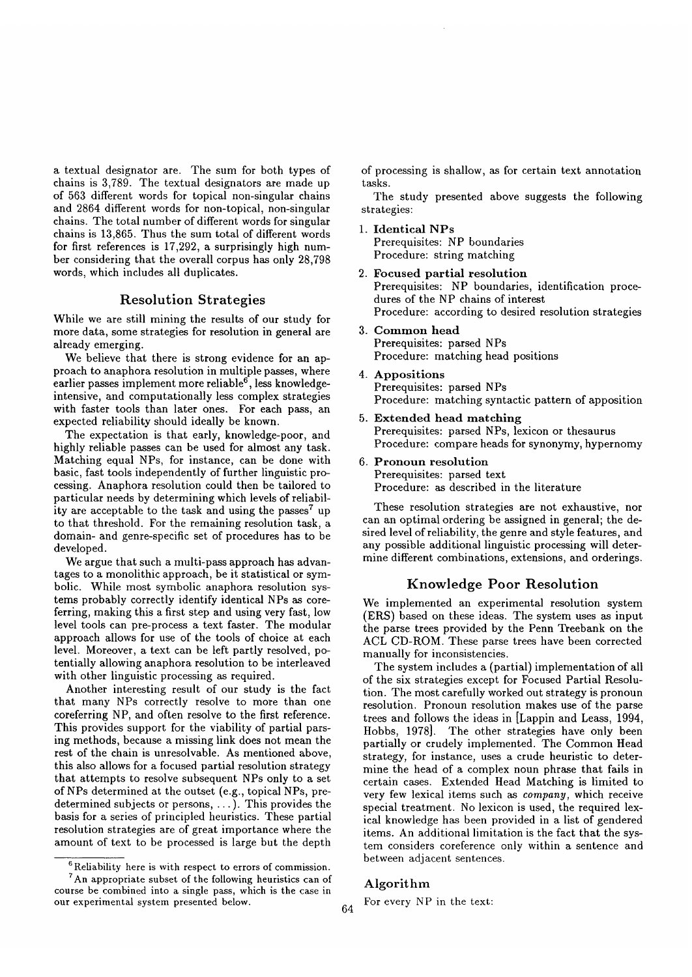a textual designator are. The sum for both types of chains is 3,789. The textual designators are made up of 563 different words for topical non-singular chains and 2864 different words for non-topical, non-singular chains. The total number of different words for singular chains is 13,865. Thus the sum total of different words for first references is 17,292, a surprisingly high number considering that the overall corpus has only 28,798 words, which includes all duplicates.

## **Resolution Strategies**

While we are still mining the results of our study for more data, some strategies for resolution in general are already emerging.

We believe that there is strong evidence for an approach to anaphora resolution in multiple passes, where earlier passes implement more reliable<sup>6</sup>, less knowledgeintensive, and computationally less complex strategies with faster tools than later ones. For each pass, an expected reliability should ideally be known.

The expectation is that early, knowledge-poor, and highly reliable passes can be used for almost any task. Matching equal NPs, for instance, can be done with basic, fast tools independently of further linguistic processing. Anaphora resolution could then be tailored to particular needs by determining which levels of reliability are acceptable to the task and using the passes<sup>7</sup> up to that threshold. For the remaining resolution task, a domain- and genre-specific set of procedures has to be developed.

We argue that such a multi-pass approach has advantages to a monolithic approach, be it statistical or symbolic. While most symbolic anaphora resolution systems probably correctly identify identical NPs as coreferring, making this a first step and using very fast, low level tools can pre-process a text faster. The modular approach allows for use of the tools of choice at each level. Moreover, a text can be left partly resolved, potentially allowing anaphora resolution to be interleaved with other linguistic processing as required.

Another interesting result of our study is the fact that many NPs correctly resolve to more than one coreferring NP, and often resolve to the first reference. This provides support for the viability of partial parsing methods, because a missing link does not mean the rest of the chain is unresolvable. As mentioned above, this also allows for a focused partial resolution strategy that attempts to resolve subsequent NPs only to a set of NPs determined at the outset (e.g., topical NPs, predetermined subjects or persons, ... ). This provides the basis for a series of principled heuristics. These partial resolution strategies are of great importance where the amount of text to be processed is large but the depth

of processing is shallow, as for certain text annotation tasks.

The study presented above suggests the following strategies:

- 1. Identical NPs Prerequisites: NP boundaries Procedure: string matching
- 2. Focused partial resolution Prerequisites: NP boundaries, identification procedures of the NP chains of interest Procedure: according to desired resolution strategies
- 3. Common head Prerequisites: parsed NPs Procedure: matching head positions
- 4. Appositions Prerequisites: parsed NPs Procedure: matching syntactic pattern of apposition
- 5. Extended head matching Prerequisites: parsed NPs, lexicon or thesaurus Procedure: compare heads for synonymy, hypernomy
- 6. Pronoun resolution Prerequisites: parsed text Procedure: as described in the literature

These resolution strategies are not exhaustive, nor can an optimal ordering be assigned in general; the desired level of reliability, the genre and style features, and any possible additional linguistic processing will determine different combinations, extensions, and orderings.

# Knowledge Poor Resolution

We implemented an experimental resolution system (ERS) based on these ideas. The system uses as input the parse trees provided by the Penn Treebank on the ACL CD-ROM. These parse trees have been corrected manually for inconsistencies.

The system includes a (partial) implementation of all of the six strategies except for Focused Partial Resolution. The most carefully worked out strategy is pronoun resolution. Pronoun resolution makes use of the parse trees and follows the ideas in [Lappin and Leass, 1994, Hobbs, 1978]. The other strategies have only been partially or crudely implemented. The Common Head strategy, for instance, uses a crude heuristic to determine the head of a complex noun phrase that fails in certain cases. Extended Head Matching is limited to very few lexical items such as *company,* which receive special treatment. No lexicon is used, the required lexical knowledge has been provided in a list of gendered items. An additional limitation is the fact that the system considers coreference only within a sentence and between adjacent sentences.

## Algorithm

For every NP in the text:

 $6$  Reliability here is with respect to errors of commission.

<sup>7</sup>An appropriate subset of the following heuristics can of course be combined into a single pass, which is the case in our experimental system presented below. 64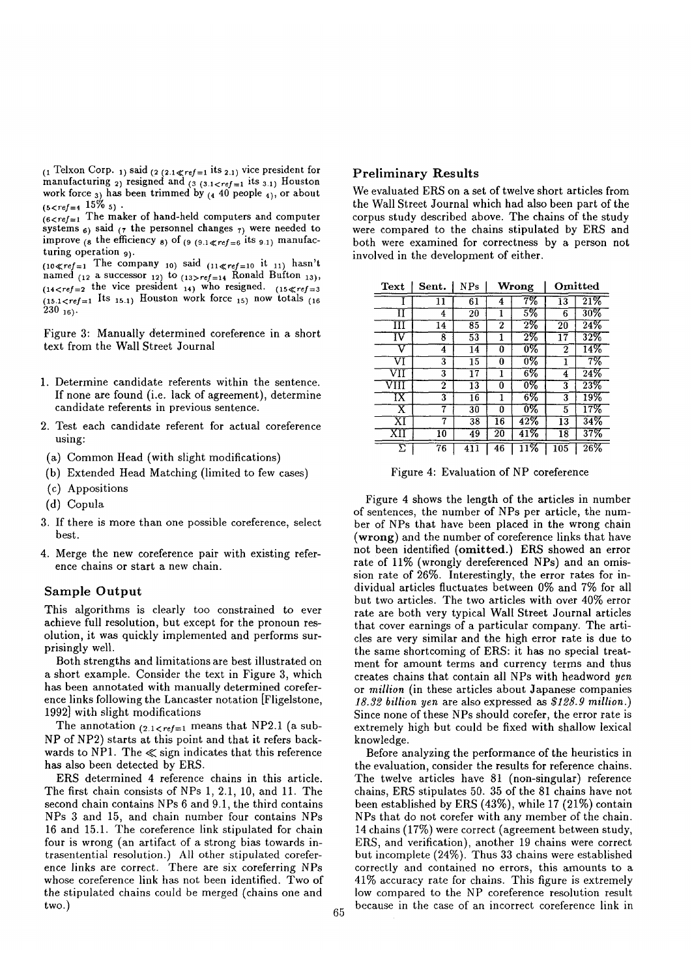$_{(1}$  Telxon Corp. <sub>1</sub>) said  $_{(2 \ (2.1 \ll ref=1 \text{ its } 2.1) \text{ vice president for})$ manufacturing <sub>2</sub>) resigned and  $_{(3,1\leq ref=1)}$  its  $_{3.1}$  Houston work force  $_3$  has been trimmed by  $_{(4\ 40\ \text{people }_{4)}$ , or about  $(5 < ref = 4$   $15\%$  5)  $\cdot$ 

 $(6 < ref = 1$  The maker of hand-held computers and computer systems  $6$ ) said (7 the personnel changes  $7$ ) were needed to improve  $_{(8)}$  the efficiency  $_{8}$  of  $_{(9)(9.1 \leqslant ref=6)}$  its  $_{9.1}$  manufacturing operation 9).

 $(10 \ll ref=1$  The company 10) said  $(11 \ll ref=10$  it 11) hasn't named  $_{(12)}$  a successor 12) to  $_{(13>ref)=14}$  Ronald Bufton 13),  $(14 < ref = 2$  the vice president  $14$ ) who resigned.  $(15 < ref = 3)$  $(15.1 < ref = 1$  Its  $15.1$ ) Houston work force  $15$  now totals  $(16.1)$  $230$  <sub>16</sub>).

Figure 3: Manually determined coreference in a short text from the Wall Street Journal

- 1. Determine candidate referents within the sentence. If none are found (i.e. lack of agreement), determine candidate referents in previous sentence.
- 2. Test each candidate referent for actual coreference using:
- (a) Common Head (with slight modifications)
- (b) Extended Head Matching (limited to few cases)
- (c) Appositions
- (d) Copula
- 3. If there is more than one possible coreference, select best.
- 4. Merge the new coreference pair with existing reference chains or start a new chain.

## Sample Output

This algorithms is clearly too constrained to ever achieve full resolution, but except for the pronoun resolution, it was quickly implemented and performs surprisingly well.

Both strengths and limitations are best illustrated on a short example. Consider the text in Figure 3, which has been annotated with manually determined coreference links following the Lancaster notation [Fligelstone, 1992] with slight modifications

The annotation  $(2.1 < ref=1$  means that NP2.1 (a sub-NP of NP2) starts at this point and that it refers backwards to NP1. The  $\ll$  sign indicates that this reference has also been detected by ERS.

ERS determined 4 reference chains in this article. The first chain consists of NPs 1, 2.1, 10, and 11. The second chain contains NPs 6 and 9.1, the third contains NPs 3 and 15, and chain number four contains NPs 16 and 15.1. The coreference link stipulated for chain four is wrong (an artifact of a strong bias towards intrasentential resolution.) All other stipulated coreference links are correct. There are six coreferring NPs whose coreference link has not been identified. Two of the stipulated chains could be merged (chains one and two.)

# Preliminary **Results**

We evaluated ERS on a set of twelve short articles from the Wall Street Journal which had also been part of the corpus study described above. The chains of the study were compared to the chains stipulated by ERS and both were examined for correctness by a person not involved in the development of either.

| Text | Sent.           | NPs             | Wrong           |                  | Omitted          |                   |
|------|-----------------|-----------------|-----------------|------------------|------------------|-------------------|
|      | 11              | 61              | 4               | 7%               | 13               | $\overline{21\%}$ |
| ĪΤ   | 4               | $\overline{2}0$ | 1               | 5%               | 6                | $30\%$            |
| ш    | 14              | $\overline{85}$ | 2               | $2\%$            | 20               | 24%               |
| īV   | 8               | 53              | 1               | $2\%$            | 17               | 32%               |
|      | 4               | 14              | 0               | 0%               | $\mathbf 2$      | 14%               |
| VI   | 3               | 15              | 0               | 0%               |                  | 7%                |
| VH   | 3               | $\overline{17}$ | 1               | 6%               | 4                | 24%               |
| VIII | 2               | 13              | 0               | 0%               | 3                | 23%               |
| ĪΧ   | 3               | 16              | 1               | 6%               | 3                | $19\%$            |
| х    | 7               | 30              | o               | $\overline{0\%}$ | 5                | 17%               |
| ΧT   | 7               | 38              | 16              | 42%              | 13               | 34%               |
| XП   | 10              | 49              | $\overline{20}$ | 41%              | 18               | 37%               |
| Σ    | $\overline{76}$ | 411             | 46              | 11%              | $\overline{105}$ | 26%               |

Figure 4: Evaluation of NP coreference

Figure 4 shows the length of the articles in number of sentences, the number of NPs per article, the number of NPs that have been placed in the wrong chain (wrong) and the number of coreference links that have not been identified (omitted.) ERS showed an error rate of 11% (wrongly dereferenced NPs) and an omission rate of 26%. Interestingly, the error rates for individual articles fluctuates between 0% and 7% for all but two articles. The two articles with over 40% error rate are both very typical Wall Street Journal articles that cover earnings of a particular company. The articles are very similar and the high error rate is due to the same shortcoming of ERS: it has no special treatment for amount terms and currency terms and thus creates chains that contain all NPs with headword *yen*  or *million* (in these articles about Japanese companies *18.32 billion yen* are also expressed as *\$128.9 million.)*  Since none of these NPs should corefer, the error rate is extremely high but could be fixed with shallow lexical knowledge.

Before analyzing the performance of the heuristics in the evaluation, consider the results for reference chains. The twelve articles have 81 (non-singular) reference chains, ERS stipulates 50. 35 of the 81 chains have not been established by ERS (43%), while 17 (21%) contain NPs that do not corefer with any member of the chain. 14 chains (17%) were correct (agreement between study, ERS, and verification), another 19 chains were correct but incomplete (24%). Thus 33 chains were established correctly and contained no errors, this amounts to a 41% accuracy rate for chains. This figure is extremely low compared to the NP coreference resolution result because in the case of an incorrect coreference link in